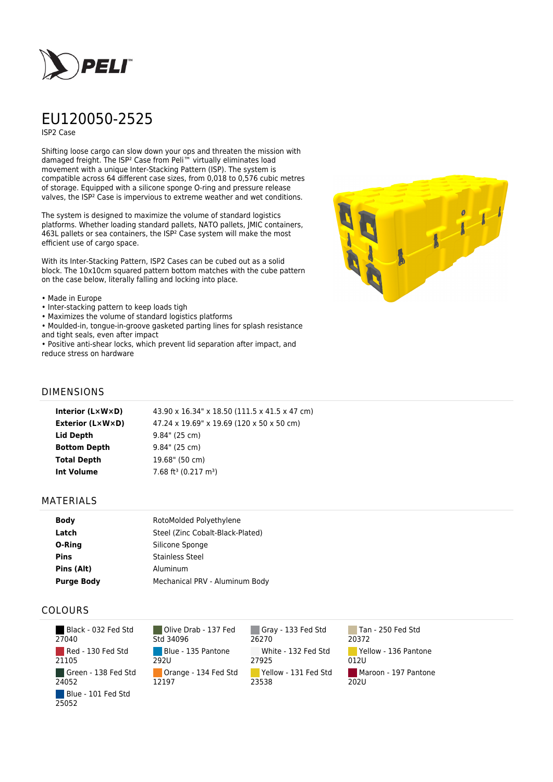

# EU120050-2525

ISP2 Case

Shifting loose cargo can slow down your ops and threaten the mission with damaged freight. The ISP² Case from Peli™ virtually eliminates load movement with a unique Inter-Stacking Pattern (ISP). The system is compatible across 64 different case sizes, from 0,018 to 0,576 cubic metres of storage. Equipped with a silicone sponge O-ring and pressure release valves, the ISP² Case is impervious to extreme weather and wet conditions.

The system is designed to maximize the volume of standard logistics platforms. Whether loading standard pallets, NATO pallets, JMIC containers, 463L pallets or sea containers, the ISP² Case system will make the most efficient use of cargo space.

With its Inter-Stacking Pattern, ISP2 Cases can be cubed out as a solid block. The 10x10cm squared pattern bottom matches with the cube pattern on the case below, literally falling and locking into place.

#### • Made in Europe

- Inter-stacking pattern to keep loads tigh
- Maximizes the volume of standard logistics platforms
- Moulded-in, tongue-in-groove gasketed parting lines for splash resistance and tight seals, even after impact
- Positive anti-shear locks, which prevent lid separation after impact, and reduce stress on hardware



### DIMENSIONS

| Interior (LxWxD)    | 43.90 x 16.34" x 18.50 (111.5 x 41.5 x 47 cm) |
|---------------------|-----------------------------------------------|
| Exterior (L×W×D)    | 47.24 x 19.69" x 19.69 (120 x 50 x 50 cm)     |
| Lid Depth           | $9.84$ " (25 cm)                              |
| <b>Bottom Depth</b> | 9.84" (25 cm)                                 |
| <b>Total Depth</b>  | 19.68" (50 cm)                                |
| <b>Int Volume</b>   | 7.68 ft <sup>3</sup> (0.217 m <sup>3</sup> )  |
|                     |                                               |

#### MATERIALS

| <b>Body</b>       | RotoMolded Polyethylene          |  |
|-------------------|----------------------------------|--|
| Latch             | Steel (Zinc Cobalt-Black-Plated) |  |
| O-Ring            | Silicone Sponge                  |  |
| <b>Pins</b>       | <b>Stainless Steel</b>           |  |
| Pins (Alt)        | Aluminum                         |  |
| <b>Purge Body</b> | Mechanical PRV - Aluminum Body   |  |

## COLOURS

| Black - 032 Fed Std<br>27040 |
|------------------------------|
| Red - 130 Fed Std<br>21105   |
| Green - 138 Fed Std<br>24052 |
| Blue - 101 Fed Std<br>25052  |

Olive Drab - 137 Fed Std 34096 Blue - 135 Pantone 292U Orange - 134 Fed Std 12197

Gray - 133 Fed Std 26270 White - 132 Fed Std 27925 Yellow - 131 Fed Std 23538

Tan - 250 Fed Std 20372 Yellow - 136 Pantone 012U Maroon - 197 Pantone 202U